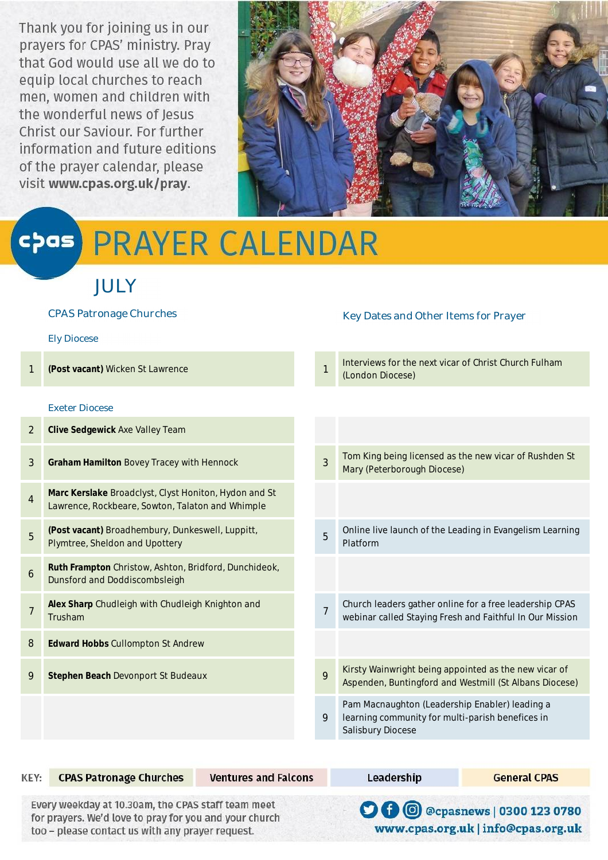Thank you for joining us in our prayers for CPAS' ministry. Pray that God would use all we do to equip local churches to reach men, women and children with<br>the wonderful news of Jesus Christ our Saviour. For further information and future editions of the prayer calendar, please visit www.cpas.org.uk/pray.



# **PRAYER CALENDAR**  $\left($ c $\rho$ as $\right)$

# JULY

|                | <b>CPAS Patronage Churches</b>                                                                            |                | Key Dates and Other Items for Prayer                                                                                    |
|----------------|-----------------------------------------------------------------------------------------------------------|----------------|-------------------------------------------------------------------------------------------------------------------------|
|                | <b>Ely Diocese</b>                                                                                        |                |                                                                                                                         |
|                | (Post vacant) Wicken St Lawrence                                                                          | $\mathbf{1}$   | Interviews for the next vicar of Christ Church Fulham<br>(London Diocese)                                               |
|                | <b>Exeter Diocese</b>                                                                                     |                |                                                                                                                         |
| $\overline{2}$ | <b>Clive Sedgewick Axe Valley Team</b>                                                                    |                |                                                                                                                         |
| 3              | <b>Graham Hamilton Bovey Tracey with Hennock</b>                                                          | $\overline{3}$ | Tom King being licensed as the new vicar of Rushden St<br>Mary (Peterborough Diocese)                                   |
| $\overline{4}$ | Marc Kerslake Broadclyst, Clyst Honiton, Hydon and St<br>Lawrence, Rockbeare, Sowton, Talaton and Whimple |                |                                                                                                                         |
| 5              | (Post vacant) Broadhembury, Dunkeswell, Luppitt,<br>Plymtree, Sheldon and Upottery                        | 5              | Online live launch of the Leading in Evangelism Learning<br>Platform                                                    |
| 6              | Ruth Frampton Christow, Ashton, Bridford, Dunchideok,<br>Dunsford and Doddiscombsleigh                    |                |                                                                                                                         |
| $\overline{7}$ | Alex Sharp Chudleigh with Chudleigh Knighton and<br>Trusham                                               | $\overline{7}$ | Church leaders gather online for a free leadership CPAS<br>webinar called Staying Fresh and Faithful In Our Mission     |
| 8              | <b>Edward Hobbs Cullompton St Andrew</b>                                                                  |                |                                                                                                                         |
| 9              | <b>Stephen Beach Devonport St Budeaux</b>                                                                 | 9              | Kirsty Wainwright being appointed as the new vicar of<br>Aspenden, Buntingford and Westmill (St Albans Diocese)         |
|                |                                                                                                           | 9              | Pam Macnaughton (Leadership Enabler) leading a<br>learning community for multi-parish benefices in<br>Salisbury Diocese |

| KEY:                                                                                                                                                             | <b>CPAS Patronage Churches</b> | <b>Ventures and Falcons</b> | Leadership | <b>General CPAS</b>                                                               |
|------------------------------------------------------------------------------------------------------------------------------------------------------------------|--------------------------------|-----------------------------|------------|-----------------------------------------------------------------------------------|
| Every weekday at 10.30am, the CPAS staff team meet<br>for prayers. We'd love to pray for you and your church<br>too - please contact us with any prayer request. |                                |                             |            | <b>O 0</b> @ @ @ @ cpasnews   0300 123 0780<br>www.cpas.org.uk   info@cpas.org.uk |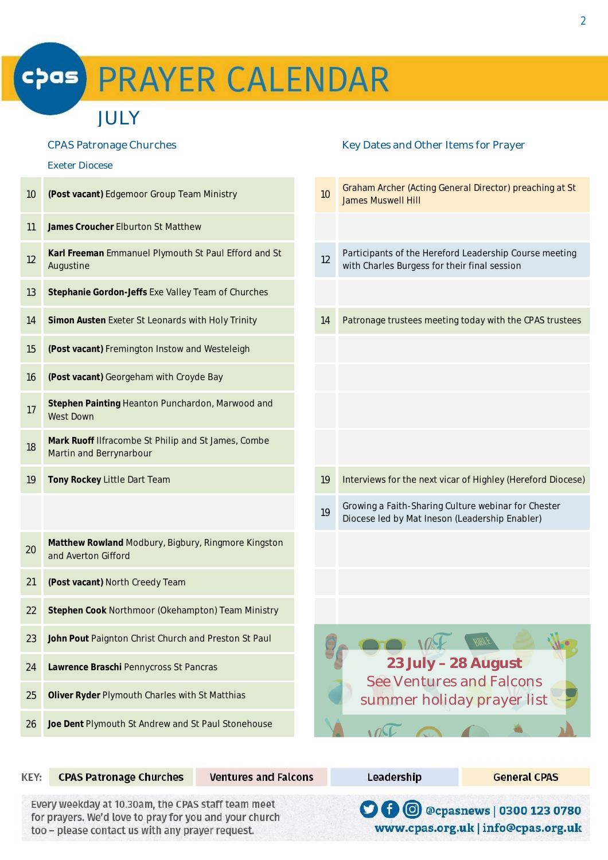# **PRAYER CALENDAR**  $cpas$

# JULY

#### Exeter Diocese

í

| 10 | (Post vacant) Edgemoor Group Team Ministry                                     |
|----|--------------------------------------------------------------------------------|
| 11 | James Croucher Elburton St Matthew                                             |
| 12 | Karl Freeman Emmanuel Plymouth St Paul Efford and St<br>Augustine              |
| 13 | Stephanie Gordon-Jeffs Exe Valley Team of Churches                             |
| 14 | Simon Austen Exeter St Leonards with Holy Trinity                              |
| 15 | (Post vacant) Fremington Instow and Westeleigh                                 |
| 16 | (Post vacant) Georgeham with Croyde Bay                                        |
| 17 | Stephen Painting Heanton Punchardon, Marwood and<br><b>West Down</b>           |
| 18 | Mark Ruoff Ilfracombe St Philip and St James, Combe<br>Martin and Berrynarbour |
| 19 | Tony Rockey Little Dart Team                                                   |
|    |                                                                                |
| 20 | Matthew Rowland Modbury, Bigbury, Ringmore Kingston<br>and Averton Gifford     |
| 21 | (Post vacant) North Creedy Team                                                |
| 22 | Stephen Cook Northmoor (Okehampton) Team Ministry                              |
| 23 | John Pout Paignton Christ Church and Preston St Paul                           |
| 24 | Lawrence Braschi Pennycross St Pancras                                         |
|    |                                                                                |
| 25 | Oliver Ryder Plymouth Charles with St Matthias                                 |

### CPAS Patronage Churches **Key Dates and Other Items for Prayer** Key Dates and Other Items for Prayer

| 10 | Graham Archer (Acting General Director) preaching at St<br><b>James Muswell Hill</b>                   |
|----|--------------------------------------------------------------------------------------------------------|
|    |                                                                                                        |
| 12 | Participants of the Hereford Leadership Course meeting<br>with Charles Burgess for their final session |
|    |                                                                                                        |
| 14 | Patronage trustees meeting today with the CPAS trustees                                                |
|    |                                                                                                        |
|    |                                                                                                        |
|    |                                                                                                        |
|    |                                                                                                        |
| 19 | Interviews for the next vicar of Highley (Hereford Diocese)                                            |
| 19 | Growing a Faith-Sharing Culture webinar for Chester<br>Diocese led by Mat Ineson (Leadership Enabler)  |
|    |                                                                                                        |
|    |                                                                                                        |
|    |                                                                                                        |
|    | BIBT<br>23 July - 28 August<br><b>See Ventures and Falcons</b><br>summer holiday prayer list           |
|    |                                                                                                        |
|    |                                                                                                        |

KEY: **CPAS Patronage Churches Ventures and Falcons** Leadership **General CPAS** Every weekday at 10.30am, the CPAS staff team meet **O 0** @cpasnews | 0300 123 0780 for prayers. We'd love to pray for you and your church www.cpas.org.uk | info@cpas.org.uk too - please contact us with any prayer request.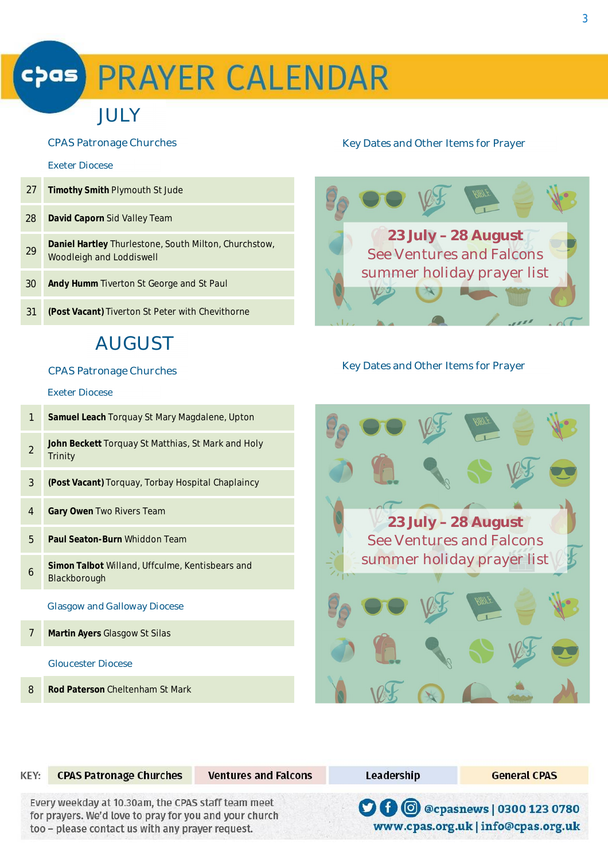# **chas PRAYER CALENDAR**

# JULY

#### Exeter Diocese

- 27 **Timothy Smith** Plymouth St Jude 28 **David Caporn** Sid Valley Team
- <sup>29</sup> **Daniel Hartley** Thurlestone, South Milton, Churchstow, Woodleigh and Loddiswell
- 30 **Andy Humm** Tiverton St George and St Paul
- 31 **(Post Vacant)** Tiverton St Peter with Chevithorne

# **AUGUST**

### Exeter Diocese

- 1 **Samuel Leach** Torquay St Mary Magdalene, Upton
- 2 **John Beckett** Torquay St Matthias, St Mark and Holy Trinity
- 3 **(Post Vacant)** Torquay, Torbay Hospital Chaplaincy
- 4 **Gary Owen** Two Rivers Team
- 5 **Paul Seaton-Burn** Whiddon Team
- 6 **Simon Talbot** Willand, Uffculme, Kentisbears and Blackborough

### Glasgow and Galloway Diocese

7 **Martin Ayers** Glasgow St Silas

### Gloucester Diocese

8 **Rod Paterson** Cheltenham St Mark

## CPAS Patronage Churches **Key Dates and Other Items for Prayer** Key Dates and Other Items for Prayer



# CPAS Patronage Churches Key Dates and Other Items for Prayer



| KEY: | <b>CPAS Patronage Churches</b>                                                                                                                                   | <b>Ventures and Falcons</b> | Leadership | <b>General CPAS</b>                                                                  |
|------|------------------------------------------------------------------------------------------------------------------------------------------------------------------|-----------------------------|------------|--------------------------------------------------------------------------------------|
|      | Every weekday at 10.30am, the CPAS staff team meet<br>for prayers. We'd love to pray for you and your church<br>too - please contact us with any prayer request. |                             |            | <b>O 0</b> @ @ @ @ @ acpasnews   0300 123 0780<br>www.cpas.org.uk   info@cpas.org.uk |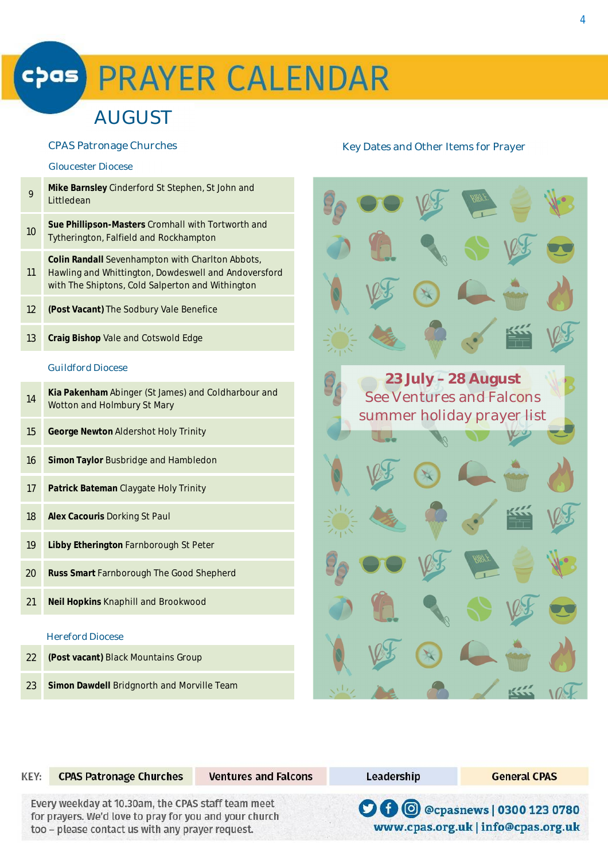# **PRAYER CALENDAR** cþas)

# AUGUST

#### Gloucester Diocese

| 9  | Mike Barnsley Cinderford St Stephen, St John and<br>Littledean                                      |
|----|-----------------------------------------------------------------------------------------------------|
| 10 | <b>Sue Phillipson-Masters</b> Cromhall with Tortworth and<br>Tytherington, Falfield and Rockhampton |
|    | <b>Colin Randall</b> Sevenhampton with Charlton Abbots,                                             |

11 Hawling and Whittington, Dowdeswell and Andoversford with The Shiptons, Cold Salperton and Withington

- 12 **(Post Vacant)** The Sodbury Vale Benefice
- 13 **Craig Bishop** Vale and Cotswold Edge

### Guildford Diocese

| 14 | Kia Pakenham Abinger (St James) and Coldharbour and<br>Wotton and Holmbury St Mary |  |
|----|------------------------------------------------------------------------------------|--|
| 15 | <b>George Newton Aldershot Holy Trinity</b>                                        |  |
| 16 | <b>Simon Taylor Busbridge and Hambledon</b>                                        |  |
| 17 | <b>Patrick Bateman Claygate Holy Trinity</b>                                       |  |
| 18 | <b>Alex Cacouris Dorking St Paul</b>                                               |  |
| 19 | Libby Etherington Farnborough St Peter                                             |  |
| 20 | <b>Russ Smart Farnborough The Good Shepherd</b>                                    |  |
| 21 | <b>Neil Hopkins Knaphill and Brookwood</b>                                         |  |
|    | <b>Hereford Diocese</b>                                                            |  |

- 22 **(Post vacant)** Black Mountains Group
- 23 **Simon Dawdell** Bridgnorth and Morville Team

### CPAS Patronage Churches The Control of the Key Dates and Other Items for Prayer



| KEY: | <b>CPAS Patronage Churches</b>                                                                                                                                   | <b>Ventures and Falcons</b> | Leadership | <b>General CPAS</b>                                                               |
|------|------------------------------------------------------------------------------------------------------------------------------------------------------------------|-----------------------------|------------|-----------------------------------------------------------------------------------|
|      | Every weekday at 10.30am, the CPAS staff team meet<br>for prayers. We'd love to pray for you and your church<br>too - please contact us with any prayer request. |                             |            | <b>O 0</b> @ @ @ @ @ asnews   0300 123 0780<br>www.cpas.org.uk   info@cpas.org.uk |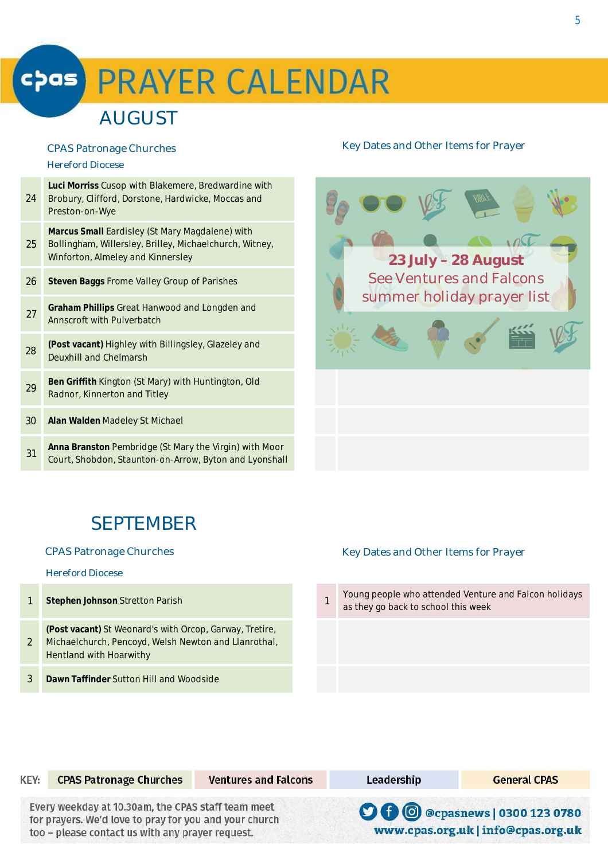# **chas PRAYER CALENDAR**

# **AUGUST**

### Hereford Diocese

| 24 | Luci Morriss Cusop with Blakemere, Bredwardine with<br>Brobury, Clifford, Dorstone, Hardwicke, Moccas and<br>Preston-on-Wye                     |
|----|-------------------------------------------------------------------------------------------------------------------------------------------------|
| 25 | Marcus Small Eardisley (St Mary Magdalene) with<br>Bollingham, Willersley, Brilley, Michaelchurch, Witney,<br>Winforton, Almeley and Kinnersley |
| 26 | Steven Baggs Frome Valley Group of Parishes                                                                                                     |
| 27 | Graham Phillips Great Hanwood and Longden and<br>Annscroft with Pulverbatch                                                                     |
| 28 | (Post vacant) Highley with Billingsley, Glazeley and<br>Deuxhill and Chelmarsh                                                                  |
| 29 | Ben Griffith Kington (St Mary) with Huntington, Old<br>Radnor, Kinnerton and Titley                                                             |
| 30 | <b>Alan Walden</b> Madeley St Michael                                                                                                           |
| 31 | Anna Branston Pembridge (St Mary the Virgin) with Moor<br>Court, Shobdon, Staunton-on-Arrow, Byton and Lyonshall                                |
|    |                                                                                                                                                 |

# CPAS Patronage Churches **Key Dates and Other Items for Prayer** Key Dates and Other Items for Prayer



# **SEPTEMBER**

### Hereford Diocese

- 1 **Stephen Johnson** Stretton Parish 1
- 2 **(Post vacant)** St Weonard's with Orcop, Garway, Tretire, Michaelchurch, Pencoyd, Welsh Newton and Llanrothal, Hentland with Hoarwithy
- 3 **Dawn Taffinder** Sutton Hill and Woodside

## CPAS Patronage Churches **Key Dates and Other Items for Prayer** Key Dates and Other Items for Prayer

Leadership

Young people who attended Venture and Falcon holidays as they go back to school this week

|  |  | <b>CPAS Patronage Church</b> |
|--|--|------------------------------|

es

**Ventures and Falcons** 

Every weekday at 10.30am, the CPAS staff team meet for prayers. We'd love to pray for you and your church too - please contact us with any prayer request.

**O 0** @cpasnews | 0300 123 0780

**General CPAS** 

www.cpas.org.uk | info@cpas.org.uk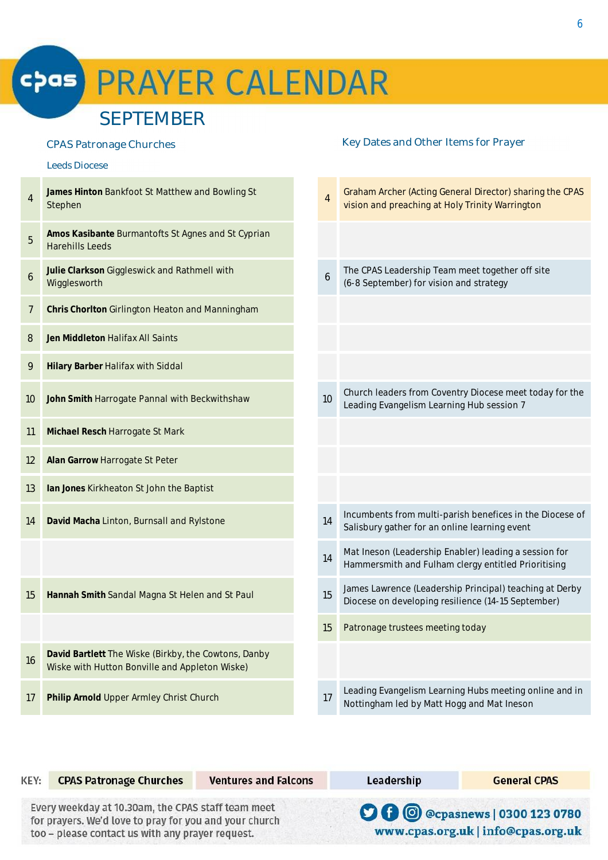# cpas PRAYER CALENDAR

# SEPTEMBER

Wiske with Hutton Bonville and Appleton Wiske)

4

5

6

# **James Hinton** Bankfoot St Matthew and Bowling St Stephen <sup>4</sup> Graham Archer (Acting General Director) sharing the CPAS vision and preaching at Holy Trinity Warrington **Amos Kasibante** Burmantofts St Agnes and St Cyprian Harehills Leeds **Julie Clarkson** Giggleswick and Rathmell with wine clarified in the mathematic wine of the control of the control of the control of the control of the control of the control of the control of the control of the control of the control of the control of the control of t The CPAS Leadership Team meet together off site (6-8 September) for vision and strategy 7 **Chris Chorlton** Girlington Heaton and Manningham 8 **Jen Middleton** Halifax All Saints 9 **Hilary Barber** Halifax with Siddal 10 **John Smith** Harrogate Pannal with Beckwithshaw 10 Church leaders from Coventry Diocese meet today for the Leading Evangelism Learning Hub session 7 11 **Michael Resch** Harrogate St Mark 12 **Alan Garrow** Harrogate St Peter 13 **Ian Jones** Kirkheaton St John the Baptist **14 David Macha** Linton, Burnsall and Rylstone 14 **14** Incumbents from multi-parish benefices in the Diocese of Salisbury gather for an online learning event 14 Mat Ineson (Leadership Enabler) leading a session for Hammersmith and Fulham clergy entitled Prioritising 15 **Hannah Smith** Sandal Magna St Helen and St Paul 15 James Lawrence (Leadership Principal) teaching at Derby Diocese on developing resilience (14-15 September) 15 Patronage trustees meeting today <sup>16</sup> **David Bartlett** The Wiske (Birkby, the Cowtons, Danby CPAS Patronage Churches **Key Dates and Other Items for Prayer** Key Dates and Other Items for Prayer Leeds Diocese

17 **Philip Arnold** Upper Armley Christ Church 17 Leading Evangelism Learning Hubs meeting online and in Nottingham led by Matt Hogg and Mat Ineson

| KEY: | <b>CPAS Patronage Churches</b>                                                                                                                                   | <b>Ventures and Falcons</b> | Leadership | <b>General CPAS</b>                                                           |
|------|------------------------------------------------------------------------------------------------------------------------------------------------------------------|-----------------------------|------------|-------------------------------------------------------------------------------|
|      | Every weekday at 10.30am, the CPAS staff team meet<br>for prayers. We'd love to pray for you and your church<br>too - please contact us with any prayer request. |                             |            | <b>O 0</b> @ @ cpasnews   0300 123 0780<br>www.cpas.org.uk   info@cpas.org.uk |